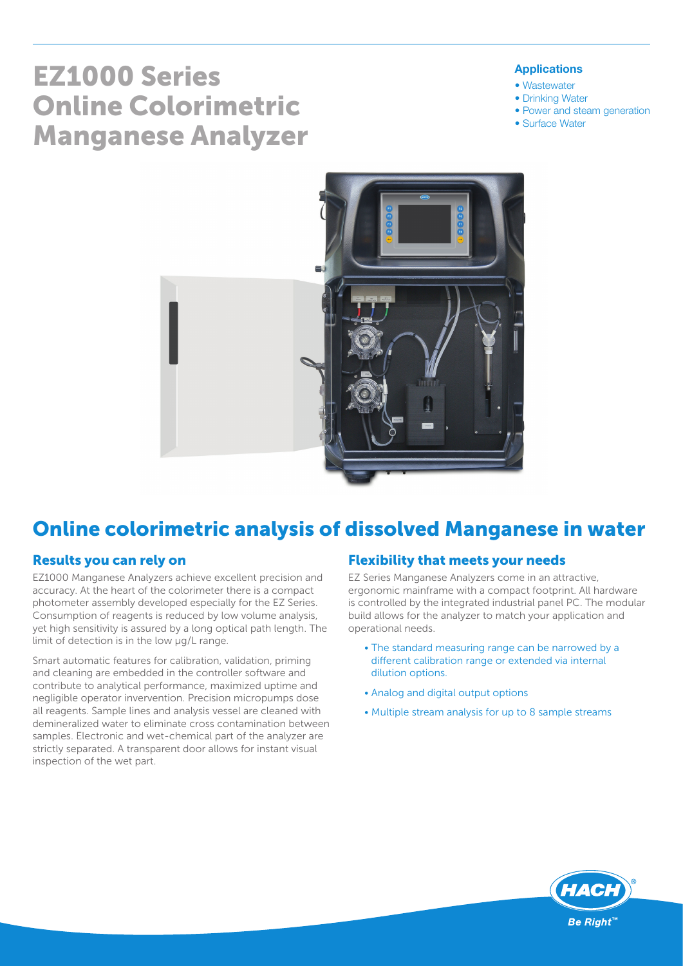# EZ1000 Series Online Colorimetric Manganese Analyzer

#### Applications

- Wastewater
- Drinking Water
- Power and steam generation
- Surface Water



# Online colorimetric analysis of dissolved Manganese in water

#### Results you can rely on

EZ1000 Manganese Analyzers achieve excellent precision and accuracy. At the heart of the colorimeter there is a compact photometer assembly developed especially for the EZ Series. Consumption of reagents is reduced by low volume analysis, yet high sensitivity is assured by a long optical path length. The limit of detection is in the low µg/L range.

Smart automatic features for calibration, validation, priming and cleaning are embedded in the controller software and contribute to analytical performance, maximized uptime and negligible operator invervention. Precision micropumps dose all reagents. Sample lines and analysis vessel are cleaned with demineralized water to eliminate cross contamination between samples. Electronic and wet-chemical part of the analyzer are strictly separated. A transparent door allows for instant visual inspection of the wet part.

#### Flexibility that meets your needs

EZ Series Manganese Analyzers come in an attractive, ergonomic mainframe with a compact footprint. All hardware is controlled by the integrated industrial panel PC. The modular build allows for the analyzer to match your application and operational needs.

- The standard measuring range can be narrowed by a different calibration range or extended via internal dilution options.
- Analog and digital output options
- Multiple stream analysis for up to 8 sample streams

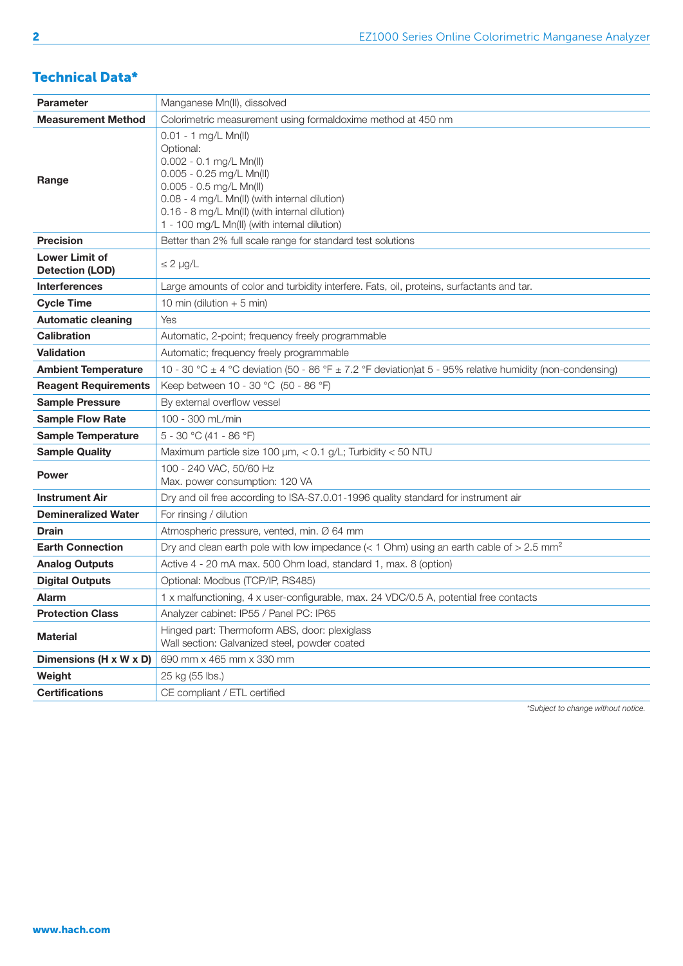### Technical Data\*

| Parameter                                       | Manganese Mn(II), dissolved                                                                                                                                                                                                                                               |  |  |  |  |  |
|-------------------------------------------------|---------------------------------------------------------------------------------------------------------------------------------------------------------------------------------------------------------------------------------------------------------------------------|--|--|--|--|--|
| <b>Measurement Method</b>                       | Colorimetric measurement using formaldoxime method at 450 nm                                                                                                                                                                                                              |  |  |  |  |  |
| Range                                           | 0.01 - 1 mg/L Mn(II)<br>Optional:<br>$0.002 - 0.1$ mg/L Mn(II)<br>0.005 - 0.25 mg/L Mn(II)<br>$0.005 - 0.5$ mg/L Mn(II)<br>0.08 - 4 mg/L Mn(II) (with internal dilution)<br>0.16 - 8 mg/L Mn(II) (with internal dilution)<br>1 - 100 mg/L Mn(II) (with internal dilution) |  |  |  |  |  |
| <b>Precision</b>                                | Better than 2% full scale range for standard test solutions                                                                                                                                                                                                               |  |  |  |  |  |
| <b>Lower Limit of</b><br><b>Detection (LOD)</b> | $\leq$ 2 $\mu$ g/L                                                                                                                                                                                                                                                        |  |  |  |  |  |
| <b>Interferences</b>                            | Large amounts of color and turbidity interfere. Fats, oil, proteins, surfactants and tar.                                                                                                                                                                                 |  |  |  |  |  |
| <b>Cycle Time</b>                               | 10 min (dilution $+5$ min)                                                                                                                                                                                                                                                |  |  |  |  |  |
| <b>Automatic cleaning</b>                       | Yes                                                                                                                                                                                                                                                                       |  |  |  |  |  |
| <b>Calibration</b>                              | Automatic, 2-point; frequency freely programmable                                                                                                                                                                                                                         |  |  |  |  |  |
| <b>Validation</b>                               | Automatic; frequency freely programmable                                                                                                                                                                                                                                  |  |  |  |  |  |
| <b>Ambient Temperature</b>                      | 10 - 30 °C ± 4 °C deviation (50 - 86 °F ± 7.2 °F deviation)at 5 - 95% relative humidity (non-condensing)                                                                                                                                                                  |  |  |  |  |  |
| <b>Reagent Requirements</b>                     | Keep between 10 - 30 °C (50 - 86 °F)                                                                                                                                                                                                                                      |  |  |  |  |  |
| <b>Sample Pressure</b>                          | By external overflow vessel                                                                                                                                                                                                                                               |  |  |  |  |  |
| <b>Sample Flow Rate</b>                         | 100 - 300 mL/min                                                                                                                                                                                                                                                          |  |  |  |  |  |
| <b>Sample Temperature</b>                       | 5 - 30 °C (41 - 86 °F)                                                                                                                                                                                                                                                    |  |  |  |  |  |
| <b>Sample Quality</b>                           | Maximum particle size 100 µm, < 0.1 g/L; Turbidity < 50 NTU                                                                                                                                                                                                               |  |  |  |  |  |
| <b>Power</b>                                    | 100 - 240 VAC, 50/60 Hz<br>Max. power consumption: 120 VA                                                                                                                                                                                                                 |  |  |  |  |  |
| <b>Instrument Air</b>                           | Dry and oil free according to ISA-S7.0.01-1996 quality standard for instrument air                                                                                                                                                                                        |  |  |  |  |  |
| <b>Demineralized Water</b>                      | For rinsing / dilution                                                                                                                                                                                                                                                    |  |  |  |  |  |
| <b>Drain</b>                                    | Atmospheric pressure, vented, min. Ø 64 mm                                                                                                                                                                                                                                |  |  |  |  |  |
| <b>Earth Connection</b>                         | Dry and clean earth pole with low impedance ( $<$ 1 Ohm) using an earth cable of $>$ 2.5 mm <sup>2</sup>                                                                                                                                                                  |  |  |  |  |  |
| <b>Analog Outputs</b>                           | Active 4 - 20 mA max. 500 Ohm load, standard 1, max. 8 (option)                                                                                                                                                                                                           |  |  |  |  |  |
| <b>Digital Outputs</b>                          | Optional: Modbus (TCP/IP, RS485)                                                                                                                                                                                                                                          |  |  |  |  |  |
| <b>Alarm</b>                                    | 1 x malfunctioning, 4 x user-configurable, max. 24 VDC/0.5 A, potential free contacts                                                                                                                                                                                     |  |  |  |  |  |
| <b>Protection Class</b>                         | Analyzer cabinet: IP55 / Panel PC: IP65                                                                                                                                                                                                                                   |  |  |  |  |  |
| <b>Material</b>                                 | Hinged part: Thermoform ABS, door: plexiglass<br>Wall section: Galvanized steel, powder coated                                                                                                                                                                            |  |  |  |  |  |
| Dimensions (H x W x D)                          | 690 mm x 465 mm x 330 mm                                                                                                                                                                                                                                                  |  |  |  |  |  |
| Weight                                          | 25 kg (55 lbs.)                                                                                                                                                                                                                                                           |  |  |  |  |  |
| <b>Certifications</b>                           | CE compliant / ETL certified                                                                                                                                                                                                                                              |  |  |  |  |  |

*\*Subject to change without notice.*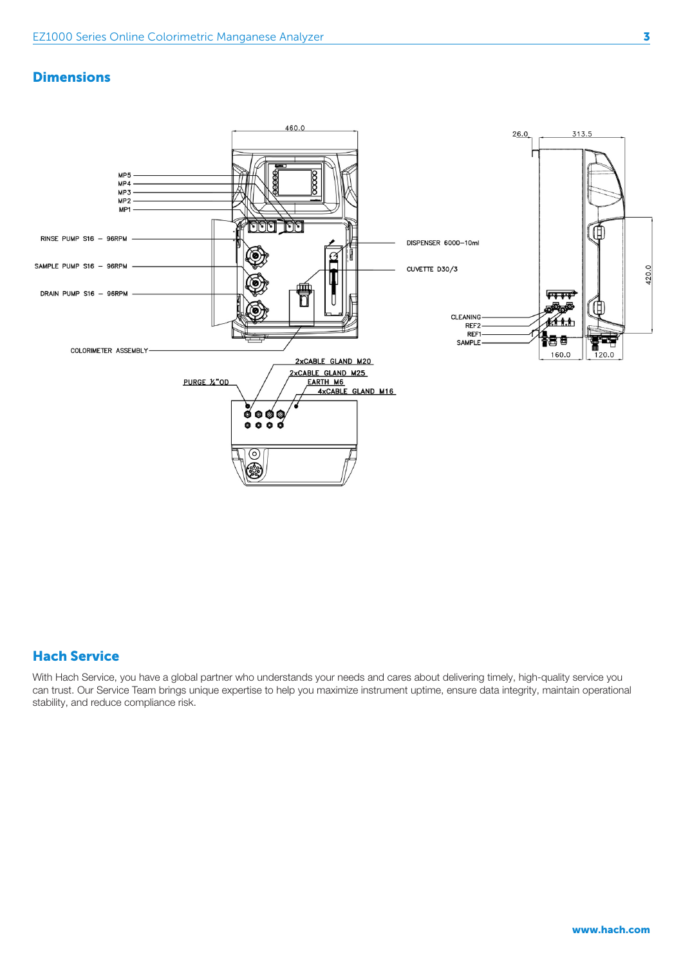#### **Dimensions**



#### Hach Service

With Hach Service, you have a global partner who understands your needs and cares about delivering timely, high-quality service you can trust. Our Service Team brings unique expertise to help you maximize instrument uptime, ensure data integrity, maintain operational stability, and reduce compliance risk.